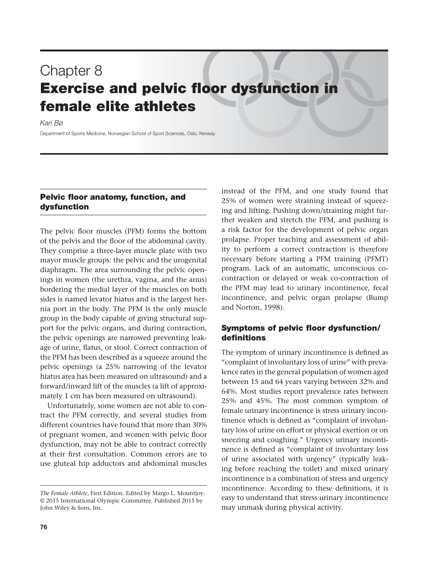# Chapter 8 **Exercise and pelvic floor dysfunction in female elite athletes**

Kari Bø

Department of Sports Medicine, Norwegian School of Sport Sciences, Oslo, Norway

# **Pelvic floor anatomy, function, and dysfunction**

The pelvic floor muscles (PFM) forms the bottom of the pelvis and the floor of the abdominal cavity. They comprise a three‐layer muscle plate with two mayor muscle groups: the pelvic and the urogenital diaphragm. The area surrounding the pelvic openings in women (the urethra, vagina, and the anus) bordering the medial layer of the muscles on both sides is named levator hiatus and is the largest hernia port in the body. The PFM is the only muscle group in the body capable of giving structural support for the pelvic organs, and during contraction, the pelvic openings are narrowed preventing leakage of urine, flatus, or stool. Correct contraction of the PFM has been described as a squeeze around the pelvic openings (a 25% narrowing of the levator hiatus area has been measured on ultrasound) and a forward/inward lift of the muscles (a lift of approximately 1 cm has been measured on ultrasound).

Unfortunately, some women are not able to contract the PFM correctly, and several studies from different countries have found that more than 30% of pregnant women, and women with pelvic floor dysfunction, may not be able to contract correctly at their first consultation. Common errors are to use gluteal hip adductors and abdominal muscles instead of the PFM, and one study found that 25% of women were straining instead of squeezing and lifting. Pushing down/straining might further weaken and stretch the PFM, and pushing is a risk factor for the development of pelvic organ prolapse. Proper teaching and assessment of ability to perform a correct contraction is therefore necessary before starting a PFM training (PFMT) program. Lack of an automatic, unconscious cocontraction or delayed or weak co-contraction of the PFM may lead to urinary incontinence, fecal incontinence, and pelvic organ prolapse (Bump and Norton, 1998).

# **Symptoms of pelvic floor dysfunction/ definitions**

The symptom of urinary incontinence is defined as "complaint of involuntary loss of urine" with prevalence rates in the general population of women aged between 15 and 64 years varying between 32% and 64%. Most studies report prevalence rates between 25% and 45%. The most common symptom of female urinary incontinence is stress urinary incontinence which is defined as "complaint of involuntary loss of urine on effort or physical exertion or on sneezing and coughing." Urgency urinary incontinence is defined as "complaint of involuntary loss of urine associated with urgency" (typically leaking before reaching the toilet) and mixed urinary incontinence is a combination of stress and urgency incontinence. According to these definitions, it is easy to understand that stress urinary incontinence may unmask during physical activity.

*The Female Athlete*, First Edition. Edited by Margo L. Mountjoy. © 2015 International Olympic Committee. Published 2015 by John Wiley & Sons, Inc.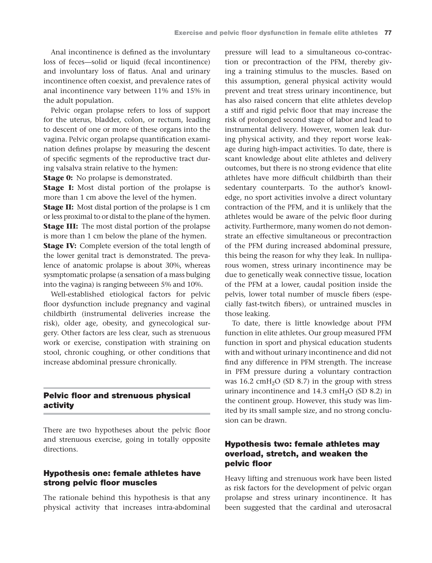Anal incontinence is defined as the involuntary loss of feces—solid or liquid (fecal incontinence) and involuntary loss of flatus. Anal and urinary incontinence often coexist, and prevalence rates of anal incontinence vary between 11% and 15% in the adult population.

Pelvic organ prolapse refers to loss of support for the uterus, bladder, colon, or rectum, leading to descent of one or more of these organs into the vagina. Pelvic organ prolapse quantification examination defines prolapse by measuring the descent of specific segments of the reproductive tract during valsalva strain relative to the hymen:

**Stage 0:** No prolapse is demonstrated.

**Stage I:** Most distal portion of the prolapse is more than 1 cm above the level of the hymen.

**Stage II:** Most distal portion of the prolapse is 1 cm or less proximal to or distal to the plane of the hymen. **Stage III:** The most distal portion of the prolapse is more than 1 cm below the plane of the hymen.

**Stage IV:** Complete eversion of the total length of the lower genital tract is demonstrated. The prevalence of anatomic prolapse is about 30%, whereas sysmptomatic prolapse (a sensation of a mass bulging into the vagina) is ranging betweeen 5% and 10%.

Well‐established etiological factors for pelvic floor dysfunction include pregnancy and vaginal childbirth (instrumental deliveries increase the risk), older age, obesity, and gynecological surgery. Other factors are less clear, such as strenuous work or exercise, constipation with straining on stool, chronic coughing, or other conditions that increase abdominal pressure chronically.

## **Pelvic floor and strenuous physical activity**

There are two hypotheses about the pelvic floor and strenuous exercise, going in totally opposite directions.

## **Hypothesis one: female athletes have strong pelvic floor muscles**

The rationale behind this hypothesis is that any physical activity that increases intra‐abdominal pressure will lead to a simultaneous co‐contraction or precontraction of the PFM, thereby giving a training stimulus to the muscles. Based on this assumption, general physical activity would prevent and treat stress urinary incontinence, but has also raised concern that elite athletes develop a stiff and rigid pelvic floor that may increase the risk of prolonged second stage of labor and lead to instrumental delivery. However, women leak during physical activity, and they report worse leakage during high‐impact activities. To date, there is scant knowledge about elite athletes and delivery outcomes, but there is no strong evidence that elite athletes have more difficult childbirth than their sedentary counterparts. To the author's knowledge, no sport activities involve a direct voluntary contraction of the PFM, and it is unlikely that the athletes would be aware of the pelvic floor during activity. Furthermore, many women do not demonstrate an effective simultaneous or precontraction of the PFM during increased abdominal pressure, this being the reason for why they leak. In nulliparous women, stress urinary incontinence may be due to genetically weak connective tissue, location of the PFM at a lower, caudal position inside the pelvis, lower total number of muscle fibers (especially fast‐twitch fibers), or untrained muscles in those leaking.

To date, there is little knowledge about PFM function in elite athletes. Our group measured PFM function in sport and physical education students with and without urinary incontinence and did not find any difference in PFM strength. The increase in PFM pressure during a voluntary contraction was  $16.2 \text{ cm}$ H<sub>2</sub>O (SD 8.7) in the group with stress urinary incontinence and  $14.3 \text{ cm}$ H<sub>2</sub>O (SD 8.2) in the continent group. However, this study was limited by its small sample size, and no strong conclusion can be drawn.

# **Hypothesis two: female athletes may overload, stretch, and weaken the pelvic floor**

Heavy lifting and strenuous work have been listed as risk factors for the development of pelvic organ prolapse and stress urinary incontinence. It has been suggested that the cardinal and uterosacral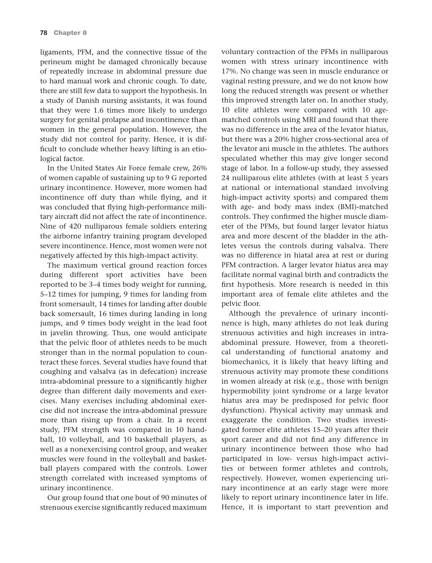ligaments, PFM, and the connective tissue of the perineum might be damaged chronically because of repeatedly increase in abdominal pressure due to hard manual work and chronic cough. To date, there are still few data to support the hypothesis. In a study of Danish nursing assistants, it was found that they were 1.6 times more likely to undergo surgery for genital prolapse and incontinence than women in the general population. However, the study did not control for parity. Hence, it is difficult to conclude whether heavy lifting is an etiological factor.

In the United States Air Force female crew, 26% of women capable of sustaining up to 9 G reported urinary incontinence. However, more women had incontinence off duty than while flying, and it was concluded that flying high-performance military aircraft did not affect the rate of incontinence. Nine of 420 nulliparous female soldiers entering the airborne infantry training program developed severe incontinence. Hence, most women were not negatively affected by this high‐impact activity.

The maximum vertical ground reaction forces during different sport activities have been reported to be 3–4 times body weight for running, 5–12 times for jumping, 9 times for landing from front somersault, 14 times for landing after double back somersault, 16 times during landing in long jumps, and 9 times body weight in the lead foot in javelin throwing. Thus, one would anticipate that the pelvic floor of athletes needs to be much stronger than in the normal population to counteract these forces. Several studies have found that coughing and valsalva (as in defecation) increase intra‐abdominal pressure to a significantly higher degree than different daily movements and exercises. Many exercises including abdominal exercise did not increase the intra‐abdominal pressure more than rising up from a chair. In a recent study, PFM strength was compared in 10 handball, 10 volleyball, and 10 basketball players, as well as a nonexercising control group, and weaker muscles were found in the volleyball and basketball players compared with the controls. Lower strength correlated with increased symptoms of urinary incontinence.

Our group found that one bout of 90 minutes of strenuous exercise significantly reduced maximum

voluntary contraction of the PFMs in nulliparous women with stress urinary incontinence with 17%. No change was seen in muscle endurance or vaginal resting pressure, and we do not know how long the reduced strength was present or whether this improved strength later on. In another study, 10 elite athletes were compared with 10 agematched controls using MRI and found that there was no difference in the area of the levator hiatus, but there was a 20% higher cross‐sectional area of the levator ani muscle in the athletes. The authors speculated whether this may give longer second stage of labor. In a follow‐up study, they assessed 24 nulliparous elite athletes (with at least 5 years at national or international standard involving high‐impact activity sports) and compared them with age‐ and body mass index (BMI)‐matched controls. They confirmed the higher muscle diameter of the PFMs, but found larger levator hiatus area and more descent of the bladder in the athletes versus the controls during valsalva. There was no difference in hiatal area at rest or during PFM contraction. A larger levator hiatus area may facilitate normal vaginal birth and contradicts the first hypothesis. More research is needed in this important area of female elite athletes and the pelvic floor.

Although the prevalence of urinary incontinence is high, many athletes do not leak during strenuous activities and high increases in intra‐ abdominal pressure. However, from a theoretical understanding of functional anatomy and biomechanics, it is likely that heavy lifting and strenuous activity may promote these conditions in women already at risk (e.g., those with benign hypermobility joint syndrome or a large levator hiatus area may be predisposed for pelvic floor dysfunction). Physical activity may unmask and exaggerate the condition. Two studies investigated former elite athletes 15–20 years after their sport career and did not find any difference in urinary incontinence between those who had participated in low‐ versus high‐impact activities or between former athletes and controls, respectively. However, women experiencing urinary incontinence at an early stage were more likely to report urinary incontinence later in life. Hence, it is important to start prevention and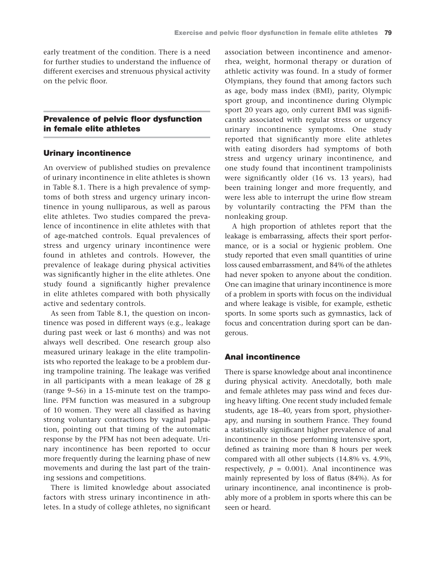early treatment of the condition. There is a need for further studies to understand the influence of different exercises and strenuous physical activity on the pelvic floor.

# **Prevalence of pelvic floor dysfunction in female elite athletes**

#### **Urinary incontinence**

An overview of published studies on prevalence of urinary incontinence in elite athletes is shown in Table 8.1. There is a high prevalence of symptoms of both stress and urgency urinary incontinence in young nulliparous, as well as parous elite athletes. Two studies compared the prevalence of incontinence in elite athletes with that of age‐matched controls. Equal prevalences of stress and urgency urinary incontinence were found in athletes and controls. However, the prevalence of leakage during physical activities was significantly higher in the elite athletes. One study found a significantly higher prevalence in elite athletes compared with both physically active and sedentary controls.

As seen from Table 8.1, the question on incontinence was posed in different ways (e.g., leakage during past week or last 6 months) and was not always well described. One research group also measured urinary leakage in the elite trampolinists who reported the leakage to be a problem during trampoline training. The leakage was verified in all participants with a mean leakage of 28 g (range 9–56) in a 15‐minute test on the trampoline. PFM function was measured in a subgroup of 10 women. They were all classified as having strong voluntary contractions by vaginal palpation, pointing out that timing of the automatic response by the PFM has not been adequate. Urinary incontinence has been reported to occur more frequently during the learning phase of new movements and during the last part of the training sessions and competitions.

There is limited knowledge about associated factors with stress urinary incontinence in athletes. In a study of college athletes, no significant association between incontinence and amenorrhea, weight, hormonal therapy or duration of athletic activity was found. In a study of former Olympians, they found that among factors such as age, body mass index (BMI), parity, Olympic sport group, and incontinence during Olympic sport 20 years ago, only current BMI was significantly associated with regular stress or urgency urinary incontinence symptoms. One study reported that significantly more elite athletes with eating disorders had symptoms of both stress and urgency urinary incontinence, and one study found that incontinent trampolinists were significantly older (16 vs. 13 years), had been training longer and more frequently, and were less able to interrupt the urine flow stream by voluntarily contracting the PFM than the nonleaking group.

A high proportion of athletes report that the leakage is embarrassing, affects their sport performance, or is a social or hygienic problem. One study reported that even small quantities of urine loss caused embarrassment, and 84% of the athletes had never spoken to anyone about the condition. One can imagine that urinary incontinence is more of a problem in sports with focus on the individual and where leakage is visible, for example, esthetic sports. In some sports such as gymnastics, lack of focus and concentration during sport can be dangerous.

## **Anal incontinence**

There is sparse knowledge about anal incontinence during physical activity. Anecdotally, both male and female athletes may pass wind and feces during heavy lifting. One recent study included female students, age 18–40, years from sport, physiotherapy, and nursing in southern France. They found a statistically significant higher prevalence of anal incontinence in those performing intensive sport, defined as training more than 8 hours per week compared with all other subjects (14.8% vs. 4.9%, respectively,  $p = 0.001$ ). Anal incontinence was mainly represented by loss of flatus (84%). As for urinary incontinence, anal incontinence is probably more of a problem in sports where this can be seen or heard.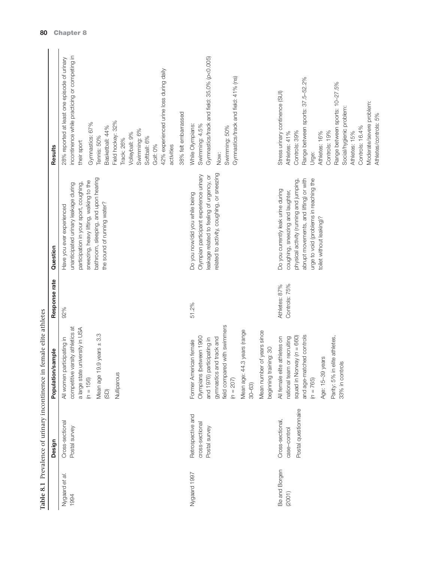|                         | Table 8.1 Prevalence of urinary inc                      | ontinence in female elite athletes                                                                                                                                                                                                                             |                                |                                                                                                                                                                                                                                   |                                                                                                                                                                                                                                                                                                                                                     |
|-------------------------|----------------------------------------------------------|----------------------------------------------------------------------------------------------------------------------------------------------------------------------------------------------------------------------------------------------------------------|--------------------------------|-----------------------------------------------------------------------------------------------------------------------------------------------------------------------------------------------------------------------------------|-----------------------------------------------------------------------------------------------------------------------------------------------------------------------------------------------------------------------------------------------------------------------------------------------------------------------------------------------------|
|                         | Design                                                   | Population/sample                                                                                                                                                                                                                                              | Response rate                  | Question                                                                                                                                                                                                                          | Results                                                                                                                                                                                                                                                                                                                                             |
| Nygaard et al.<br>1994  | Cross-sectional<br>Postal survey                         | competitive varsity athletics at<br>a large state university in USA<br>Mean age 19.9 years $\pm$ 3.3<br>All women participating in<br>Nulliparous<br>$(n = 156)$<br>(GD)                                                                                       | 92%                            | bathroom, sleeping, and upon hearing<br>sneezing, heavy lifting, walking to the<br>participation in your sport, coughing,<br>unanticipated urinary leakage during<br>the sound of running water?<br>Have you ever experienced     | incontinence while practicing or competing in<br>28% reported at least one episode of urinary<br>42% experienced urine loss during daily<br>38% felt embarrassed<br>Field hockey: 32%<br>Gymnastics: 67%<br>Basketball: 44%<br>Swimming: 6%<br>Volleyball: 9%<br>Tennis: 50%<br>Softball: 6%<br>Track: 26%<br>their sport<br>Golf: 0%<br>activities |
| Nygaard 1997            | Retrospective and<br>cross-sectional<br>Postal survey    | field compared with swimmers<br>Mean age: 44.3 years (range<br>Mean number of years since<br>Olympians (between 1960<br>gymnastics and track and<br>and 1976) participating in<br>Former American female<br>beginning training: 30<br>$(n = 207)$<br>$30 - 63$ | 51.2%                          | related to activity, coughing, or sneezing<br>Olympian participant experience urinary<br>leakage related to feeling of urgency, or<br>Do you now/did you while being                                                              | Gymnastics/track and field: 35.0% (p<0.005)<br>Gymnastics/track and field: 41% (ns)<br>Swimming: 4.5%<br>While Olympians:<br>Swimming: 50%<br>Now:                                                                                                                                                                                                  |
| Bø and Borgen<br>(2001) | Postal questionnaire<br>Cross-sectional,<br>case-control | squad in Norway (n = 660)<br>and age-matched controls<br>national team or recruiting<br>Parity: 5% in elite athletes,<br>All female elite athletes on<br>Age: 15-39 years<br>33% in controls<br>$(n = 765)$                                                    | Controls: 75%<br>Athletes: 87% | urge to void (problems in reaching the<br>abrupt movements, and lifting) or with<br>physical activity (running and jumping,<br>Do you currently leak urine during<br>coughing, sneezing and laughter,<br>toilet without leaking)? | Range between sports: 37.5-52.2%<br>Range between sports: 10-27.5%<br>Stress urinary continence (SUI)<br>Moderate/severe problem:<br>Social/hygienic problem:<br>Athletes/controls: 5%<br>Controls: 16.4%<br>Controls: 39%<br>Controls: 19%<br>Athletes: 15%<br>Athletes: 41%<br>Athletes: 16%<br>Urge:                                             |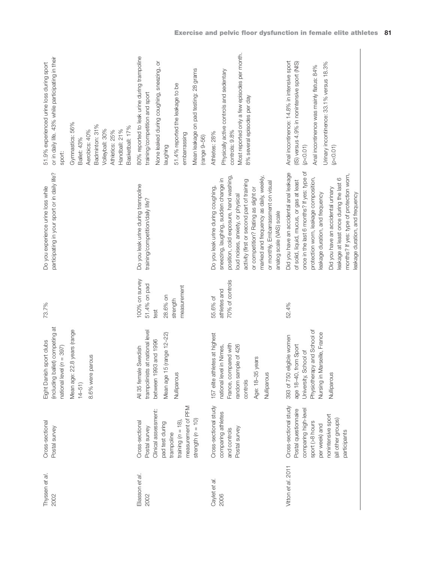| or in daily life. 43% while participating in their<br>51.9% experienced urine loss during sport<br>Gymnastics: 56%<br>Badminton: 31%<br>Basketbal: 17%<br>Volleybal: 30%<br>Aerobics: 40%<br>Handball: 21%<br>Athletics: 25%<br>Ballet: 43%<br>sport: | 80% reported to leak urine during trampoline<br>None leaked during coughing, sneezing, or<br>Mean leakage on pad testing: 28 grams<br>51.4% reported the leakage to be<br>training/competition and sport<br>embarrassing<br>$(\text{range } 9 - 56)$<br>aughing | Most reported only a few episodes per month.<br>Physically active controls and sedentary<br>8% several episodes per day<br>controls: 9.8%<br>Athletes: 28%                                                                                                                                                                                                 | Anal incontinence: 14.8% in intensive sport<br>(IS) versus 4.9% in nonintensive sport (NIS)<br>Urinary incontinence: 33.1% versus 18.3%<br>Anal incontinence was mainly flatus: 84%<br>(p<0.01)<br>p < 0.01                                                                                                                                                                |
|-------------------------------------------------------------------------------------------------------------------------------------------------------------------------------------------------------------------------------------------------------|-----------------------------------------------------------------------------------------------------------------------------------------------------------------------------------------------------------------------------------------------------------------|------------------------------------------------------------------------------------------------------------------------------------------------------------------------------------------------------------------------------------------------------------------------------------------------------------------------------------------------------------|----------------------------------------------------------------------------------------------------------------------------------------------------------------------------------------------------------------------------------------------------------------------------------------------------------------------------------------------------------------------------|
| participating in your sport or in daily life?<br>Do you experience urine loss while                                                                                                                                                                   | Do you leak urine during trampoline<br>training/competition/daily life?                                                                                                                                                                                         | position, cold exposure, hand washing,<br>marked and frequency as daily, weekly,<br>sneezing, laughing, sudden change in<br>activity (first or second part of training<br>or monthly. Embarrassment on visual<br>Do you leak urine during coughing,<br>or competition? Rating as slight or<br>oud noises, anxiety, or physical<br>analog scale (VAS) scale | once in the last 6 months? If yes: type of<br>Did you have an accidental anal leakage<br>months? If yes: type of protection worn,<br>eakage at least once during the last 6<br>protection worn, leakage composition,<br>of solid, liquid, mucus, or gas at least<br>Did you have an accidental urinary<br>eakage duration, and frequency<br>eakage duration, and frequency |
| 73.7%                                                                                                                                                                                                                                                 | 100% on survey<br>51.4% on pad<br>measurement<br>28.6% on<br>strength<br>test                                                                                                                                                                                   | 70% of controls<br>athletes and<br>55.6% of                                                                                                                                                                                                                                                                                                                | 52.4%                                                                                                                                                                                                                                                                                                                                                                      |
| (including ballet) competing at<br>Mean age: 22.8 years (range<br>Eight Danish sport clubs<br>national level ( $n = 397$<br>8.6% were parous<br>$14 - 51$ )                                                                                           | trampolinists at national level<br>Mean age 15 (range 12-22)<br>between 1993 and 1996<br>All 35 female Swedish<br>Nulliparous                                                                                                                                   | 157 elite athletes at highest<br>France, compared with<br>random sample of 426<br>national level in Nimes,<br>Age: 18-35 years<br>Nulliparous<br>controls                                                                                                                                                                                                  | Physiotherapy and School of<br>Nursing in Marseille, France<br>393 of 750 eligible women<br>age 18-40, from Sport<br>University, School of<br>Nulliparous                                                                                                                                                                                                                  |
| Cross-sectional<br>Postal survey                                                                                                                                                                                                                      | Σ<br>measurement of PF<br>Clinical assessment<br>strength $(n = 10)$<br>training $(n = 18)$ ,<br>Cross-sectional<br>pad test during<br>Postal survey<br>trampoline                                                                                              | Cross-sectional study<br>comparing athletes<br>Postal survey<br>and controls                                                                                                                                                                                                                                                                               | Cross-sectional study<br>$\overline{\omega}$<br>Postal questionnaire<br>comparing high-lev<br>nonintensive sport<br>(all other groups)<br>sport (>8 hours<br>per week) and<br>participants                                                                                                                                                                                 |
| Thyssen et al.<br>2002                                                                                                                                                                                                                                | Eliasson et al.<br>2002                                                                                                                                                                                                                                         | Caylet et al.<br>2006                                                                                                                                                                                                                                                                                                                                      | Vitton et al. 2011                                                                                                                                                                                                                                                                                                                                                         |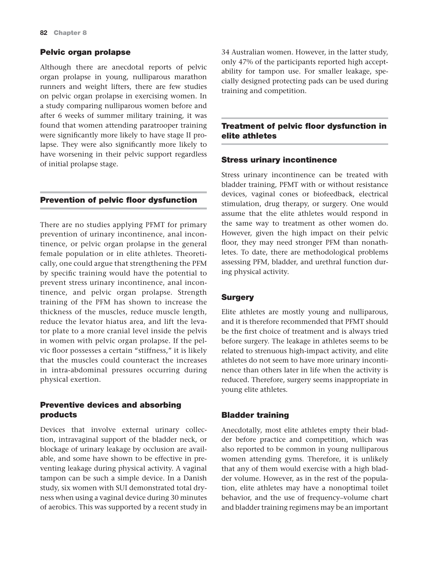#### **Pelvic organ prolapse**

Although there are anecdotal reports of pelvic organ prolapse in young, nulliparous marathon runners and weight lifters, there are few studies on pelvic organ prolapse in exercising women. In a study comparing nulliparous women before and after 6 weeks of summer military training, it was found that women attending paratrooper training were significantly more likely to have stage II prolapse. They were also significantly more likely to have worsening in their pelvic support regardless of initial prolapse stage.

## **Prevention of pelvic floor dysfunction**

There are no studies applying PFMT for primary prevention of urinary incontinence, anal incontinence, or pelvic organ prolapse in the general female population or in elite athletes. Theoretically, one could argue that strengthening the PFM by specific training would have the potential to prevent stress urinary incontinence, anal incontinence, and pelvic organ prolapse. Strength training of the PFM has shown to increase the thickness of the muscles, reduce muscle length, reduce the levator hiatus area, and lift the levator plate to a more cranial level inside the pelvis in women with pelvic organ prolapse. If the pelvic floor possesses a certain "stiffness," it is likely that the muscles could counteract the increases in intra‐abdominal pressures occurring during physical exertion.

## **Preventive devices and absorbing products**

Devices that involve external urinary collection, intravaginal support of the bladder neck, or blockage of urinary leakage by occlusion are available, and some have shown to be effective in preventing leakage during physical activity. A vaginal tampon can be such a simple device. In a Danish study, six women with SUI demonstrated total dryness when using a vaginal device during 30 minutes of aerobics. This was supported by a recent study in 34 Australian women. However, in the latter study, only 47% of the participants reported high acceptability for tampon use. For smaller leakage, specially designed protecting pads can be used during training and competition.

# **Treatment of pelvic floor dysfunction in elite athletes**

## **Stress urinary incontinence**

Stress urinary incontinence can be treated with bladder training, PFMT with or without resistance devices, vaginal cones or biofeedback, electrical stimulation, drug therapy, or surgery. One would assume that the elite athletes would respond in the same way to treatment as other women do. However, given the high impact on their pelvic floor, they may need stronger PFM than nonathletes. To date, there are methodological problems assessing PFM, bladder, and urethral function during physical activity.

## **Surgery**

Elite athletes are mostly young and nulliparous, and it is therefore recommended that PFMT should be the first choice of treatment and is always tried before surgery. The leakage in athletes seems to be related to strenuous high‐impact activity, and elite athletes do not seem to have more urinary incontinence than others later in life when the activity is reduced. Therefore, surgery seems inappropriate in young elite athletes.

#### **Bladder training**

Anecdotally, most elite athletes empty their bladder before practice and competition, which was also reported to be common in young nulliparous women attending gyms. Therefore, it is unlikely that any of them would exercise with a high bladder volume. However, as in the rest of the population, elite athletes may have a nonoptimal toilet behavior, and the use of frequency–volume chart and bladder training regimens may be an important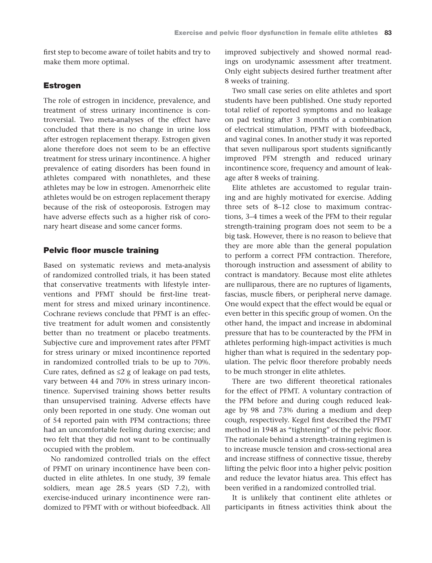first step to become aware of toilet habits and try to make them more optimal.

#### **Estrogen**

The role of estrogen in incidence, prevalence, and treatment of stress urinary incontinence is controversial. Two meta‐analyses of the effect have concluded that there is no change in urine loss after estrogen replacement therapy. Estrogen given alone therefore does not seem to be an effective treatment for stress urinary incontinence. A higher prevalence of eating disorders has been found in athletes compared with nonathletes, and these athletes may be low in estrogen. Amenorrheic elite athletes would be on estrogen replacement therapy because of the risk of osteoporosis. Estrogen may have adverse effects such as a higher risk of coronary heart disease and some cancer forms.

#### **Pelvic floor muscle training**

Based on systematic reviews and meta‐analysis of randomized controlled trials, it has been stated that conservative treatments with lifestyle interventions and PFMT should be first‐line treatment for stress and mixed urinary incontinence. Cochrane reviews conclude that PFMT is an effective treatment for adult women and consistently better than no treatment or placebo treatments. Subjective cure and improvement rates after PFMT for stress urinary or mixed incontinence reported in randomized controlled trials to be up to 70%. Cure rates, defined as  $\leq 2$  g of leakage on pad tests, vary between 44 and 70% in stress urinary incontinence. Supervised training shows better results than unsupervised training. Adverse effects have only been reported in one study. One woman out of 54 reported pain with PFM contractions; three had an uncomfortable feeling during exercise; and two felt that they did not want to be continually occupied with the problem.

No randomized controlled trials on the effect of PFMT on urinary incontinence have been conducted in elite athletes. In one study, 39 female soldiers, mean age 28.5 years (SD 7.2), with exercise‐induced urinary incontinence were randomized to PFMT with or without biofeedback. All

improved subjectively and showed normal readings on urodynamic assessment after treatment. Only eight subjects desired further treatment after 8 weeks of training.

Two small case series on elite athletes and sport students have been published. One study reported total relief of reported symptoms and no leakage on pad testing after 3 months of a combination of electrical stimulation, PFMT with biofeedback, and vaginal cones. In another study it was reported that seven nulliparous sport students significantly improved PFM strength and reduced urinary incontinence score, frequency and amount of leakage after 8 weeks of training.

Elite athletes are accustomed to regular training and are highly motivated for exercise. Adding three sets of 8–12 close to maximum contractions, 3–4 times a week of the PFM to their regular strength‐training program does not seem to be a big task. However, there is no reason to believe that they are more able than the general population to perform a correct PFM contraction. Therefore, thorough instruction and assessment of ability to contract is mandatory. Because most elite athletes are nulliparous, there are no ruptures of ligaments, fascias, muscle fibers, or peripheral nerve damage. One would expect that the effect would be equal or even better in this specific group of women. On the other hand, the impact and increase in abdominal pressure that has to be counteracted by the PFM in athletes performing high‐impact activities is much higher than what is required in the sedentary population. The pelvic floor therefore probably needs to be much stronger in elite athletes.

There are two different theoretical rationales for the effect of PFMT. A voluntary contraction of the PFM before and during cough reduced leakage by 98 and 73% during a medium and deep cough, respectively. Kegel first described the PFMT method in 1948 as "tightening" of the pelvic floor. The rationale behind a strength‐training regimen is to increase muscle tension and cross‐sectional area and increase stiffness of connective tissue, thereby lifting the pelvic floor into a higher pelvic position and reduce the levator hiatus area. This effect has been verified in a randomized controlled trial.

It is unlikely that continent elite athletes or participants in fitness activities think about the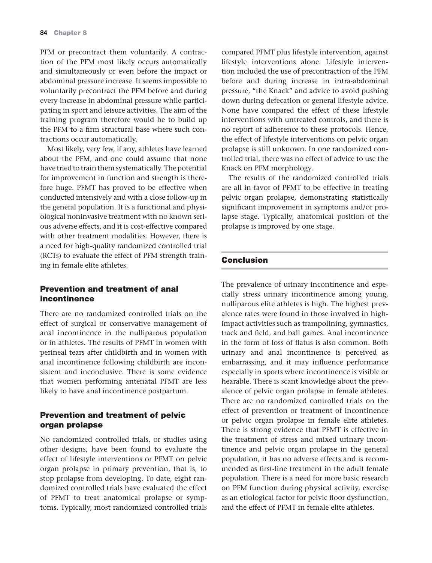PFM or precontract them voluntarily. A contraction of the PFM most likely occurs automatically and simultaneously or even before the impact or abdominal pressure increase. It seems impossible to voluntarily precontract the PFM before and during every increase in abdominal pressure while participating in sport and leisure activities. The aim of the training program therefore would be to build up the PFM to a firm structural base where such contractions occur automatically.

Most likely, very few, if any, athletes have learned about the PFM, and one could assume that none have tried to train them systematically. The potential for improvement in function and strength is therefore huge. PFMT has proved to be effective when conducted intensively and with a close follow‐up in the general population. It is a functional and physiological noninvasive treatment with no known serious adverse effects, and it is cost‐effective compared with other treatment modalities. However, there is a need for high‐quality randomized controlled trial (RCTs) to evaluate the effect of PFM strength training in female elite athletes.

# **Prevention and treatment of anal incontinence**

There are no randomized controlled trials on the effect of surgical or conservative management of anal incontinence in the nulliparous population or in athletes. The results of PFMT in women with perineal tears after childbirth and in women with anal incontinence following childbirth are inconsistent and inconclusive. There is some evidence that women performing antenatal PFMT are less likely to have anal incontinence postpartum.

# **Prevention and treatment of pelvic organ prolapse**

No randomized controlled trials, or studies using other designs, have been found to evaluate the effect of lifestyle interventions or PFMT on pelvic organ prolapse in primary prevention, that is, to stop prolapse from developing. To date, eight randomized controlled trials have evaluated the effect of PFMT to treat anatomical prolapse or symptoms. Typically, most randomized controlled trials compared PFMT plus lifestyle intervention, against lifestyle interventions alone. Lifestyle intervention included the use of precontraction of the PFM before and during increase in intra‐abdominal pressure, "the Knack" and advice to avoid pushing down during defecation or general lifestyle advice. None have compared the effect of these lifestyle interventions with untreated controls, and there is no report of adherence to these protocols. Hence, the effect of lifestyle interventions on pelvic organ prolapse is still unknown. In one randomized controlled trial, there was no effect of advice to use the Knack on PFM morphology.

The results of the randomized controlled trials are all in favor of PFMT to be effective in treating pelvic organ prolapse, demonstrating statistically significant improvement in symptoms and/or prolapse stage. Typically, anatomical position of the prolapse is improved by one stage.

# **Conclusion**

The prevalence of urinary incontinence and especially stress urinary incontinence among young, nulliparous elite athletes is high. The highest prevalence rates were found in those involved in highimpact activities such as trampolining, gymnastics, track and field, and ball games. Anal incontinence in the form of loss of flatus is also common. Both urinary and anal incontinence is perceived as embarrassing, and it may influence performance especially in sports where incontinence is visible or hearable. There is scant knowledge about the prevalence of pelvic organ prolapse in female athletes. There are no randomized controlled trials on the effect of prevention or treatment of incontinence or pelvic organ prolapse in female elite athletes. There is strong evidence that PFMT is effective in the treatment of stress and mixed urinary incontinence and pelvic organ prolapse in the general population, it has no adverse effects and is recommended as first‐line treatment in the adult female population. There is a need for more basic research on PFM function during physical activity, exercise as an etiological factor for pelvic floor dysfunction, and the effect of PFMT in female elite athletes.